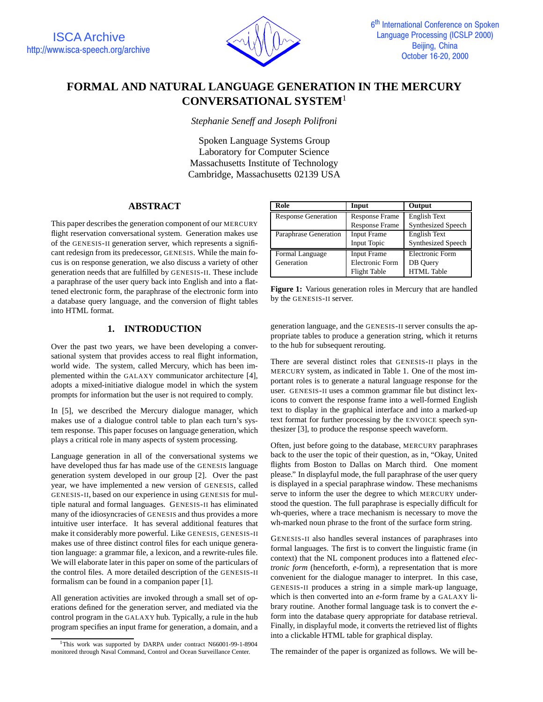

# **FORMAL AND NATURAL LANGUAGE GENERATION IN THE MERCURY CONVERSATIONAL SYSTEM**<sup>1</sup>

*Stephanie Seneff and Joseph Polifroni*

Spoken Language Systems Group Laboratory for Computer Science Massachusetts Institute of Technology Cambridge, Massachusetts 02139 USA

# **ABSTRACT**

This paper describes the generation component of our MERCURY flight reservation conversational system. Generation makes use of the GENESIS-II generation server, which represents a significant redesign from its predecessor, GENESIS. While the main focus is on response generation, we also discuss a variety of other generation needs that are fulfilled by GENESIS-II. These include a paraphrase of the user query back into English and into a flattened electronic form, the paraphrase of the electronic form into a database query language, and the conversion of flight tables into HTML format.

# **1. INTRODUCTION**

Over the past two years, we have been developing a conversational system that provides access to real flight information, world wide. The system, called Mercury, which has been implemented within the GALAXY communicator architecture [4], adopts a mixed-initiative dialogue model in which the system prompts for information but the user is not required to comply.

In [5], we described the Mercury dialogue manager, which makes use of a dialogue control table to plan each turn's system response. This paper focuses on language generation, which plays a critical role in many aspects of system processing.

Language generation in all of the conversational systems we have developed thus far has made use of the GENESIS language generation system developed in our group [2]. Over the past year, we have implemented a new version of GENESIS, called GENESIS-II, based on our experience in using GENESIS for multiple natural and formal languages. GENESIS-II has eliminated many of the idiosyncracies of GENESIS and thus provides a more intuitive user interface. It has several additional features that make it considerably more powerful. Like GENESIS, GENESIS-II makes use of three distinct control files for each unique generation language: a grammar file, a lexicon, and a rewrite-rules file. We will elaborate later in this paper on some of the particulars of the control files. A more detailed description of the GENESIS-II formalism can be found in a companion paper [1].

All generation activities are invoked through a small set of operations defined for the generation server, and mediated via the control program in the GALAXY hub. Typically, a rule in the hub program specifies an input frame for generation, a domain, and a

| Role                       | Input                  | Output                    |  |
|----------------------------|------------------------|---------------------------|--|
| <b>Response Generation</b> | <b>Response Frame</b>  | <b>English Text</b>       |  |
|                            | <b>Response Frame</b>  | <b>Synthesized Speech</b> |  |
| Paraphrase Generation      | <b>Input Frame</b>     | English Text              |  |
|                            | <b>Input Topic</b>     | <b>Synthesized Speech</b> |  |
| Formal Language            | <b>Input Frame</b>     | Electronic Form           |  |
| Generation                 | <b>Electronic Form</b> | DB Query                  |  |
|                            | <b>Flight Table</b>    | <b>HTML</b> Table         |  |

**Figure 1:** Various generation roles in Mercury that are handled by the GENESIS-II server.

generation language, and the GENESIS-II server consults the appropriate tables to produce a generation string, which it returns to the hub for subsequent rerouting.

There are several distinct roles that GENESIS-II plays in the MERCURY system, as indicated in Table 1. One of the most important roles is to generate a natural language response for the user. GENESIS-II uses a common grammar file but distinct lexicons to convert the response frame into a well-formed English text to display in the graphical interface and into a marked-up text format for further processing by the ENVOICE speech synthesizer [3], to produce the response speech waveform.

Often, just before going to the database, MERCURY paraphrases back to the user the topic of their question, as in, "Okay, United flights from Boston to Dallas on March third. One moment please." In displayful mode, the full paraphrase of the user query is displayed in a special paraphrase window. These mechanisms serve to inform the user the degree to which MERCURY understood the question. The full paraphrase is especially difficult for wh-queries, where a trace mechanism is necessary to move the wh-marked noun phrase to the front of the surface form string.

GENESIS-II also handles several instances of paraphrases into formal languages. The first is to convert the linguistic frame (in context) that the NL component produces into a flattened *electronic form* (henceforth, *e*-form), a representation that is more convenient for the dialogue manager to interpret. In this case, GENESIS-II produces a string in a simple mark-up language, which is then converted into an *e*-form frame by a GALAXY library routine. Another formal language task is to convert the *e*form into the database query appropriate for database retrieval. Finally, in displayful mode, it converts the retrieved list of flights into a clickable HTML table for graphical display.

The remainder of the paper is organized as follows. We will be-

<sup>&</sup>lt;sup>1</sup>This work was supported by DARPA under contract N66001-99-1-8904 monitored through Naval Command, Control and Ocean Surveillance Center.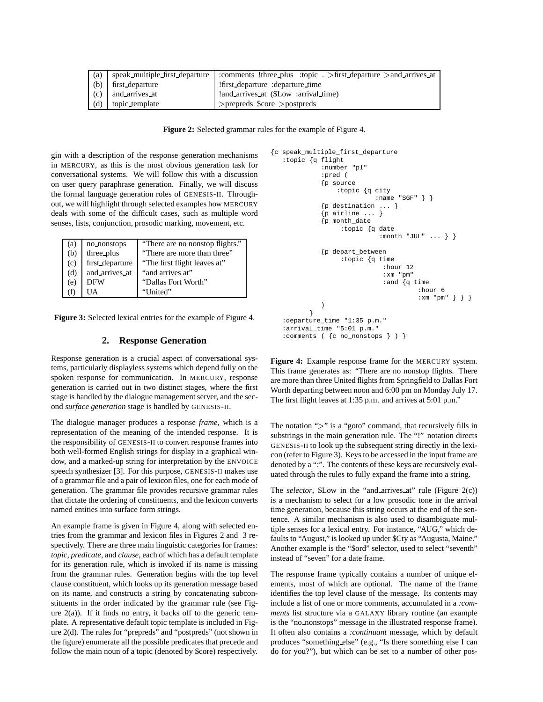| (a) |                      | speak_multiple_first_departure : comments !three_plus :topic . >first_departure >and_arrives_at |
|-----|----------------------|-------------------------------------------------------------------------------------------------|
|     | (b) first_departure  | first_departure :departure_time                                                                 |
|     | $(c)$ and arrives at | and arrives at (\$Low :arrival time)                                                            |
| (d) | topic_template       | $>$ prepreds \$core $>$ postpreds                                                               |

**Figure 2:** Selected grammar rules for the example of Figure 4.

gin with a description of the response generation mechanisms in MERCURY, as this is the most obvious generation task for conversational systems. We will follow this with a discussion on user query paraphrase generation. Finally, we will discuss the formal language generation roles of GENESIS-II. Throughout, we will highlight through selected examples how MERCURY deals with some of the difficult cases, such as multiple word senses, lists, conjunction, prosodic marking, movement, etc.

| (a) | no_nonstops     | "There are no nonstop flights." |
|-----|-----------------|---------------------------------|
| (b) | three_plus      | "There are more than three"     |
| (c) | first_departure | "The first flight leaves at"    |
| (d) | and arrives at  | "and arrives at"                |
| (e) | <b>DFW</b>      | "Dallas Fort Worth"             |
|     |                 | "United"                        |

**Figure 3:** Selected lexical entries for the example of Figure 4.

## **2. Response Generation**

Response generation is a crucial aspect of conversational systems, particularly displayless systems which depend fully on the spoken response for communication. In MERCURY, response generation is carried out in two distinct stages, where the first stage is handled by the dialogue management server, and the second *surface generation* stage is handled by GENESIS-II.

The dialogue manager produces a response *frame*, which is a representation of the meaning of the intended response. It is the responsibility of GENESIS-II to convert response frames into both well-formed English strings for display in a graphical window, and a marked-up string for interpretation by the ENVOICE speech synthesizer [3]. For this purpose, GENESIS-II makes use of a grammar file and a pair of lexicon files, one for each mode of generation. The grammar file provides recursive grammar rules that dictate the ordering of constituents, and the lexicon converts named entities into surface form strings.

An example frame is given in Figure 4, along with selected entries from the grammar and lexicon files in Figures 2 and 3 respectively. There are three main linguistic categories for frames: *topic*, *predicate*, and *clause*, each of which has a default template for its generation rule, which is invoked if its name is missing from the grammar rules. Generation begins with the top level clause constituent, which looks up its generation message based on its name, and constructs a string by concatenating subconstituents in the order indicated by the grammar rule (see Figure  $2(a)$ ). If it finds no entry, it backs off to the generic template. A representative default topic template is included in Figure 2(d). The rules for "prepreds" and "postpreds" (not shown in the figure) enumerate all the possible predicates that precede and follow the main noun of a topic (denoted by \$core) respectively.

```
{c speak_multiple_first_departure
   :topic {q flight
             :number "pl"
             :pred (
             {p source
                 :topic {q city
                            :name "SGF" } }
             {p destination ... }
             {p airline ... }
             {p month_date
                  :topic {q date
                             :month "JUL" ... } }
             {p depart_between
                  :topic {q time
                              :hour 12
                              :xm "pm"
                              :and {q time
                                        :hour 6
                                        :xm "pm" } } }
             )
          }
   :departure_time "1:35 p.m."
   :arrival time "5:01 p.m."
  :comments ( {c no_nonstops } ) }
```
**Figure 4:** Example response frame for the MERCURY system. This frame generates as: "There are no nonstop flights. There are more than three United flights from Springfield to Dallas Fort Worth departing between noon and 6:00 pm on Monday July 17. The first flight leaves at 1:35 p.m. and arrives at 5:01 p.m."

The notation ">" is a "goto" command, that recursively fills in substrings in the main generation rule. The "!" notation directs GENESIS-II to look up the subsequent string directly in the lexicon (refer to Figure 3). Keys to be accessed in the input frame are denoted by a ":". The contents of these keys are recursively evaluated through the rules to fully expand the frame into a string.

The *selector*, \$Low in the "and arrives at" rule (Figure 2(c)) is a mechanism to select for a low prosodic tone in the arrival time generation, because this string occurs at the end of the sentence. A similar mechanism is also used to disambiguate multiple senses for a lexical entry. For instance, "AUG," which defaults to "August," is looked up under \$Cty as "Augusta, Maine." Another example is the "\$ord" selector, used to select "seventh" instead of "seven" for a date frame.

The response frame typically contains a number of unique elements, most of which are optional. The name of the frame identifies the top level clause of the message. Its contents may include a list of one or more comments, accumulated in a *:comments* list structure via a GALAXY library routine (an example is the "no nonstops" message in the illustrated response frame). It often also contains a *:continuant* message, which by default produces "something else" (e.g., "Is there something else I can do for you?"), but which can be set to a number of other pos-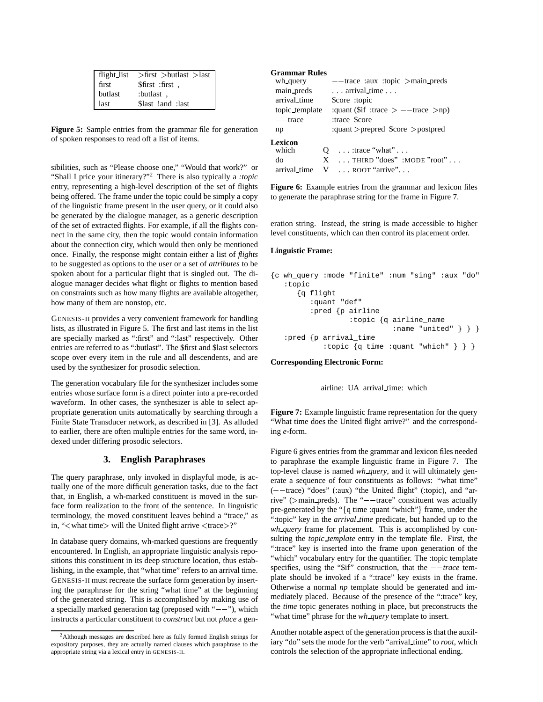| flight_list | $>$ first $>$ butlast $>$ last |
|-------------|--------------------------------|
| first       | \$first : first,               |
| butlast     | : butlast:                     |
| last        | \$last !and : last             |

**Figure 5:** Sample entries from the grammar file for generation of spoken responses to read off a list of items.

sibilities, such as "Please choose one," "Would that work?" or "Shall I price your itinerary?"<sup>2</sup> There is also typically a *:topic* entry, representing a high-level description of the set of flights being offered. The frame under the topic could be simply a copy of the linguistic frame present in the user query, or it could also be generated by the dialogue manager, as a generic description of the set of extracted flights. For example, if all the flights connect in the same city, then the topic would contain information about the connection city, which would then only be mentioned once. Finally, the response might contain either a list of *flights* to be suggested as options to the user or a set of *attributes* to be spoken about for a particular flight that is singled out. The dialogue manager decides what flight or flights to mention based on constraints such as how many flights are available altogether, how many of them are nonstop, etc.

GENESIS-II provides a very convenient framework for handling lists, as illustrated in Figure 5. The first and last items in the list are specially marked as ":first" and ":last" respectively. Other entries are referred to as ":butlast". The \$first and \$last selectors scope over every item in the rule and all descendents, and are used by the synthesizer for prosodic selection.

The generation vocabulary file for the synthesizer includes some entries whose surface form is a direct pointer into a pre-recorded waveform. In other cases, the synthesizer is able to select appropriate generation units automatically by searching through a Finite State Transducer network, as described in [3]. As alluded to earlier, there are often multiple entries for the same word, indexed under differing prosodic selectors.

# **3. English Paraphrases**

The query paraphrase, only invoked in displayful mode, is actually one of the more difficult generation tasks, due to the fact that, in English, a wh-marked constituent is moved in the surface form realization to the front of the sentence. In linguistic terminology, the moved constituent leaves behind a "trace," as in, "<what time> will the United flight arrive <trace>?"

In database query domains, wh-marked questions are frequently encountered. In English, an appropriate linguistic analysis repositions this constituent in its deep structure location, thus establishing, in the example, that "what time" refers to an arrival time. GENESIS-II must recreate the surface form generation by inserting the paraphrase for the string "what time" at the beginning of the generated string. This is accomplished by making use of a specially marked generation tag (preposed with " $---$ "), which instructs a particular constituent to *construct* but not *place* a gen-

## **Grammar Rules**

| wh_query       |   | $--$ trace : aux : topic > main_preds      |
|----------------|---|--------------------------------------------|
| main preds     |   | $\ldots$ arrival time $\ldots$             |
| arrival_time   |   | \$core :topic                              |
| topic_template |   | :quant (\$if :trace $>$ --trace $>$ np)    |
| $-$ -trace     |   | :trace \$core                              |
| np             |   | :quant > prepred $\text{Score}$ > postpred |
| Lexicon        |   |                                            |
| which          | O | $\dots$ : trace "what" $\dots$             |
| do             |   | $X$ THIRD "does" :MODE "root"              |
| arrival time   |   | $V \dots$ ROOT "arrive"                    |

**Figure 6:** Example entries from the grammar and lexicon files to generate the paraphrase string for the frame in Figure 7.

eration string. Instead, the string is made accessible to higher level constituents, which can then control its placement order.

#### **Linguistic Frame:**

```
{c wh_query :mode "finite" :num "sing" :aux "do"
   :topic
      {q flight
         :quant "def"
         :pred {p airline
                  :topic {q airline_name
                            :name "united" } } }
   :pred {p arrival_time
            :topic {q time :quant "which" } } }
```
**Corresponding Electronic Form:**

airline: UA arrival\_time: which

**Figure 7:** Example linguistic frame representation for the query "What time does the United flight arrive?" and the corresponding *e*-form.

Figure 6 gives entries from the grammar and lexicon files needed to paraphrase the example linguistic frame in Figure 7. The top-level clause is named *wh query*, and it will ultimately generate a sequence of four constituents as follows: "what time"  $(- -$ trace) "does" (:aux) "the United flight" (:topic), and "arrive" ( $>$ main\_preds). The " $-$ -trace" constituent was actually pre-generated by the " $\{q \text{ time} : \text{quant} \text{ "which"}\}$  frame, under the ":topic" key in the *arrival time* predicate, but handed up to the *wh query* frame for placement. This is accomplished by consulting the *topic template* entry in the template file. First, the ":trace" key is inserted into the frame upon generation of the "which" vocabulary entry for the quantifier. The :topic template specifies, using the " $\sin$ " construction, that the  $-$ *trace* template should be invoked if a ":trace" key exists in the frame. Otherwise a normal *np* template should be generated and immediately placed. Because of the presence of the ":trace" key, the *time* topic generates nothing in place, but preconstructs the "what time" phrase for the *wh query* template to insert.

Another notable aspect of the generation process is that the auxiliary "do" sets the mode for the verb "arrival\_time" to *root*, which controls the selection of the appropriate inflectional ending.

<sup>2</sup>Although messages are described here as fully formed English strings for expository purposes, they are actually named clauses which paraphrase to the appropriate string via a lexical entry in GENESIS-II.